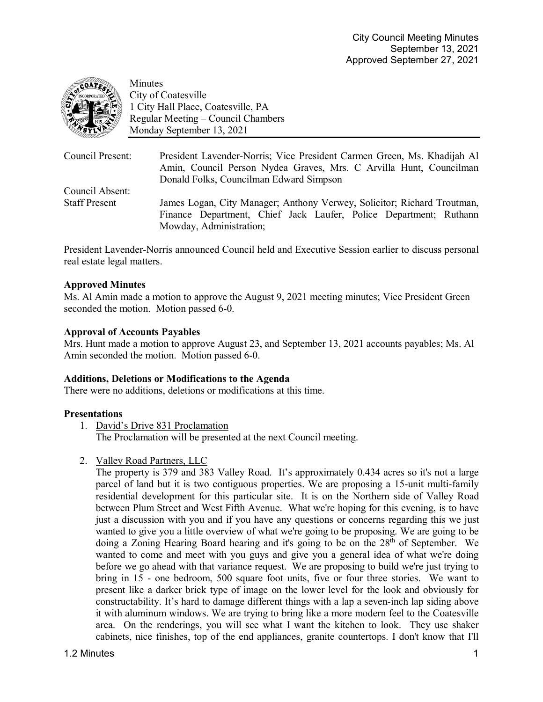

Minutes City of Coatesville 1 City Hall Place, Coatesville, PA Regular Meeting – Council Chambers Monday September 13, 2021

| Council Present:     | President Lavender-Norris; Vice President Carmen Green, Ms. Khadijah Al<br>Amin, Council Person Nydea Graves, Mrs. C Arvilla Hunt, Councilman<br>Donald Folks, Councilman Edward Simpson |
|----------------------|------------------------------------------------------------------------------------------------------------------------------------------------------------------------------------------|
| Council Absent:      |                                                                                                                                                                                          |
| <b>Staff Present</b> | James Logan, City Manager; Anthony Verwey, Solicitor; Richard Troutman,                                                                                                                  |
|                      | Finance Department, Chief Jack Laufer, Police Department; Ruthann                                                                                                                        |
|                      | Mowday, Administration;                                                                                                                                                                  |

President Lavender-Norris announced Council held and Executive Session earlier to discuss personal real estate legal matters.

# **Approved Minutes**

Ms. Al Amin made a motion to approve the August 9, 2021 meeting minutes; Vice President Green seconded the motion. Motion passed 6-0.

# **Approval of Accounts Payables**

Mrs. Hunt made a motion to approve August 23, and September 13, 2021 accounts payables; Ms. Al Amin seconded the motion. Motion passed 6-0.

### **Additions, Deletions or Modifications to the Agenda**

There were no additions, deletions or modifications at this time.

### **Presentations**

1. David's Drive 831 Proclamation

The Proclamation will be presented at the next Council meeting.

2. Valley Road Partners, LLC

The property is 379 and 383 Valley Road. It's approximately 0.434 acres so it's not a large parcel of land but it is two contiguous properties. We are proposing a 15-unit multi-family residential development for this particular site. It is on the Northern side of Valley Road between Plum Street and West Fifth Avenue. What we're hoping for this evening, is to have just a discussion with you and if you have any questions or concerns regarding this we just wanted to give you a little overview of what we're going to be proposing. We are going to be doing a Zoning Hearing Board hearing and it's going to be on the 28<sup>th</sup> of September. We wanted to come and meet with you guys and give you a general idea of what we're doing before we go ahead with that variance request. We are proposing to build we're just trying to bring in 15 - one bedroom, 500 square foot units, five or four three stories. We want to present like a darker brick type of image on the lower level for the look and obviously for constructability. It's hard to damage different things with a lap a seven-inch lap siding above it with aluminum windows. We are trying to bring like a more modern feel to the Coatesville area. On the renderings, you will see what I want the kitchen to look. They use shaker cabinets, nice finishes, top of the end appliances, granite countertops. I don't know that I'll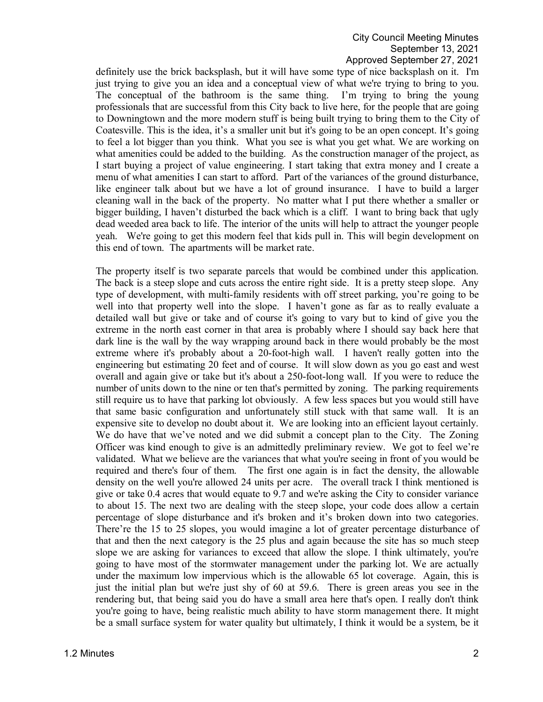### City Council Meeting Minutes September 13, 2021 Approved September 27, 2021

definitely use the brick backsplash, but it will have some type of nice backsplash on it. I'm just trying to give you an idea and a conceptual view of what we're trying to bring to you. The conceptual of the bathroom is the same thing. I'm trying to bring the young professionals that are successful from this City back to live here, for the people that are going to Downingtown and the more modern stuff is being built trying to bring them to the City of Coatesville. This is the idea, it's a smaller unit but it's going to be an open concept. It's going to feel a lot bigger than you think. What you see is what you get what. We are working on what amenities could be added to the building. As the construction manager of the project, as I start buying a project of value engineering. I start taking that extra money and I create a menu of what amenities I can start to afford. Part of the variances of the ground disturbance, like engineer talk about but we have a lot of ground insurance. I have to build a larger cleaning wall in the back of the property. No matter what I put there whether a smaller or bigger building, I haven't disturbed the back which is a cliff. I want to bring back that ugly dead weeded area back to life. The interior of the units will help to attract the younger people yeah. We're going to get this modern feel that kids pull in. This will begin development on this end of town. The apartments will be market rate.

The property itself is two separate parcels that would be combined under this application. The back is a steep slope and cuts across the entire right side. It is a pretty steep slope. Any type of development, with multi-family residents with off street parking, you're going to be well into that property well into the slope. I haven't gone as far as to really evaluate a detailed wall but give or take and of course it's going to vary but to kind of give you the extreme in the north east corner in that area is probably where I should say back here that dark line is the wall by the way wrapping around back in there would probably be the most extreme where it's probably about a 20-foot-high wall. I haven't really gotten into the engineering but estimating 20 feet and of course. It will slow down as you go east and west overall and again give or take but it's about a 250-foot-long wall. If you were to reduce the number of units down to the nine or ten that's permitted by zoning. The parking requirements still require us to have that parking lot obviously. A few less spaces but you would still have that same basic configuration and unfortunately still stuck with that same wall. It is an expensive site to develop no doubt about it. We are looking into an efficient layout certainly. We do have that we've noted and we did submit a concept plan to the City. The Zoning Officer was kind enough to give is an admittedly preliminary review. We got to feel we're validated. What we believe are the variances that what you're seeing in front of you would be required and there's four of them. The first one again is in fact the density, the allowable density on the well you're allowed 24 units per acre. The overall track I think mentioned is give or take 0.4 acres that would equate to 9.7 and we're asking the City to consider variance to about 15. The next two are dealing with the steep slope, your code does allow a certain percentage of slope disturbance and it's broken and it's broken down into two categories. There're the 15 to 25 slopes, you would imagine a lot of greater percentage disturbance of that and then the next category is the 25 plus and again because the site has so much steep slope we are asking for variances to exceed that allow the slope. I think ultimately, you're going to have most of the stormwater management under the parking lot. We are actually under the maximum low impervious which is the allowable 65 lot coverage. Again, this is just the initial plan but we're just shy of 60 at 59.6. There is green areas you see in the rendering but, that being said you do have a small area here that's open. I really don't think you're going to have, being realistic much ability to have storm management there. It might be a small surface system for water quality but ultimately, I think it would be a system, be it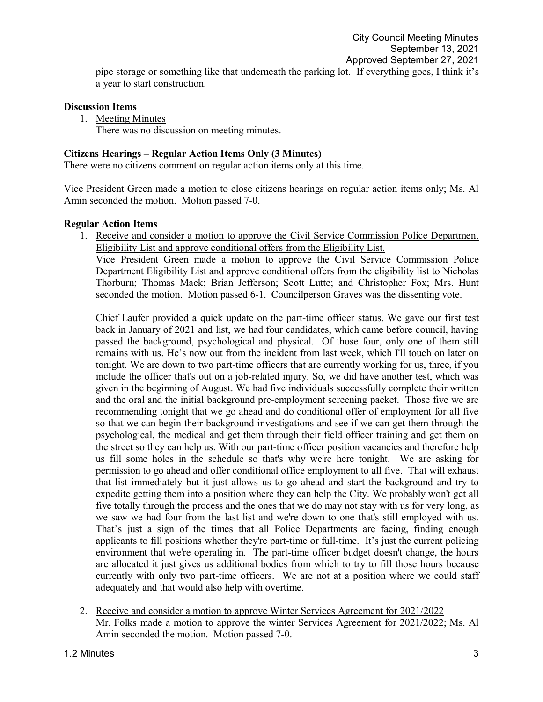**Discussion Items**

1. Meeting Minutes

There was no discussion on meeting minutes.

#### **Citizens Hearings – Regular Action Items Only (3 Minutes)**

There were no citizens comment on regular action items only at this time.

Vice President Green made a motion to close citizens hearings on regular action items only; Ms. Al Amin seconded the motion. Motion passed 7-0.

#### **Regular Action Items**

1. Receive and consider a motion to approve the Civil Service Commission Police Department Eligibility List and approve conditional offers from the Eligibility List.

Vice President Green made a motion to approve the Civil Service Commission Police Department Eligibility List and approve conditional offers from the eligibility list to Nicholas Thorburn; Thomas Mack; Brian Jefferson; Scott Lutte; and Christopher Fox; Mrs. Hunt seconded the motion. Motion passed 6-1. Councilperson Graves was the dissenting vote.

Chief Laufer provided a quick update on the part-time officer status. We gave our first test back in January of 2021 and list, we had four candidates, which came before council, having passed the background, psychological and physical. Of those four, only one of them still remains with us. He's now out from the incident from last week, which I'll touch on later on tonight. We are down to two part-time officers that are currently working for us, three, if you include the officer that's out on a job-related injury. So, we did have another test, which was given in the beginning of August. We had five individuals successfully complete their written and the oral and the initial background pre-employment screening packet. Those five we are recommending tonight that we go ahead and do conditional offer of employment for all five so that we can begin their background investigations and see if we can get them through the psychological, the medical and get them through their field officer training and get them on the street so they can help us. With our part-time officer position vacancies and therefore help us fill some holes in the schedule so that's why we're here tonight. We are asking for permission to go ahead and offer conditional office employment to all five. That will exhaust that list immediately but it just allows us to go ahead and start the background and try to expedite getting them into a position where they can help the City. We probably won't get all five totally through the process and the ones that we do may not stay with us for very long, as we saw we had four from the last list and we're down to one that's still employed with us. That's just a sign of the times that all Police Departments are facing, finding enough applicants to fill positions whether they're part-time or full-time. It's just the current policing environment that we're operating in. The part-time officer budget doesn't change, the hours are allocated it just gives us additional bodies from which to try to fill those hours because currently with only two part-time officers. We are not at a position where we could staff adequately and that would also help with overtime.

2. Receive and consider a motion to approve Winter Services Agreement for 2021/2022 Mr. Folks made a motion to approve the winter Services Agreement for 2021/2022; Ms. Al Amin seconded the motion. Motion passed 7-0.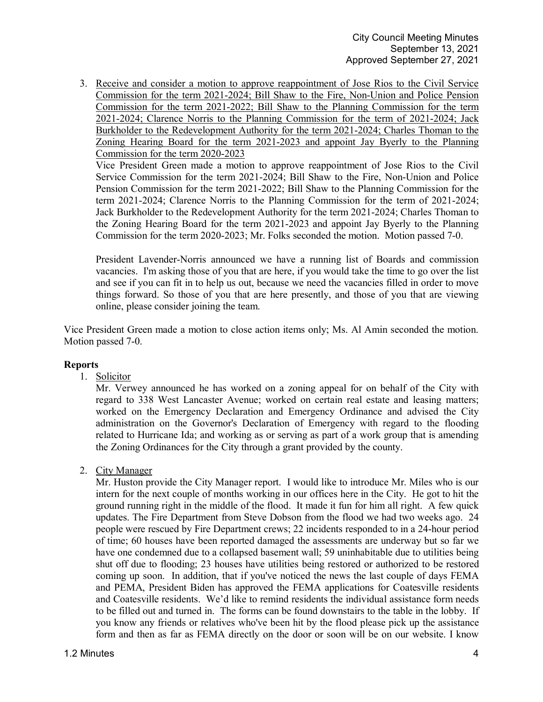3. Receive and consider a motion to approve reappointment of Jose Rios to the Civil Service Commission for the term 2021-2024; Bill Shaw to the Fire, Non-Union and Police Pension Commission for the term 2021-2022; Bill Shaw to the Planning Commission for the term 2021-2024; Clarence Norris to the Planning Commission for the term of 2021-2024; Jack Burkholder to the Redevelopment Authority for the term 2021-2024; Charles Thoman to the Zoning Hearing Board for the term 2021-2023 and appoint Jay Byerly to the Planning Commission for the term 2020-2023

Vice President Green made a motion to approve reappointment of Jose Rios to the Civil Service Commission for the term 2021-2024; Bill Shaw to the Fire, Non-Union and Police Pension Commission for the term 2021-2022; Bill Shaw to the Planning Commission for the term 2021-2024; Clarence Norris to the Planning Commission for the term of 2021-2024; Jack Burkholder to the Redevelopment Authority for the term 2021-2024; Charles Thoman to the Zoning Hearing Board for the term 2021-2023 and appoint Jay Byerly to the Planning Commission for the term 2020-2023; Mr. Folks seconded the motion. Motion passed 7-0.

President Lavender-Norris announced we have a running list of Boards and commission vacancies. I'm asking those of you that are here, if you would take the time to go over the list and see if you can fit in to help us out, because we need the vacancies filled in order to move things forward. So those of you that are here presently, and those of you that are viewing online, please consider joining the team.

Vice President Green made a motion to close action items only; Ms. Al Amin seconded the motion. Motion passed 7-0.

### **Reports**

1. Solicitor

Mr. Verwey announced he has worked on a zoning appeal for on behalf of the City with regard to 338 West Lancaster Avenue; worked on certain real estate and leasing matters; worked on the Emergency Declaration and Emergency Ordinance and advised the City administration on the Governor's Declaration of Emergency with regard to the flooding related to Hurricane Ida; and working as or serving as part of a work group that is amending the Zoning Ordinances for the City through a grant provided by the county.

# 2. City Manager

Mr. Huston provide the City Manager report. I would like to introduce Mr. Miles who is our intern for the next couple of months working in our offices here in the City. He got to hit the ground running right in the middle of the flood. It made it fun for him all right. A few quick updates. The Fire Department from Steve Dobson from the flood we had two weeks ago. 24 people were rescued by Fire Department crews; 22 incidents responded to in a 24-hour period of time; 60 houses have been reported damaged the assessments are underway but so far we have one condemned due to a collapsed basement wall; 59 uninhabitable due to utilities being shut off due to flooding; 23 houses have utilities being restored or authorized to be restored coming up soon. In addition, that if you've noticed the news the last couple of days FEMA and PEMA, President Biden has approved the FEMA applications for Coatesville residents and Coatesville residents. We'd like to remind residents the individual assistance form needs to be filled out and turned in. The forms can be found downstairs to the table in the lobby. If you know any friends or relatives who've been hit by the flood please pick up the assistance form and then as far as FEMA directly on the door or soon will be on our website. I know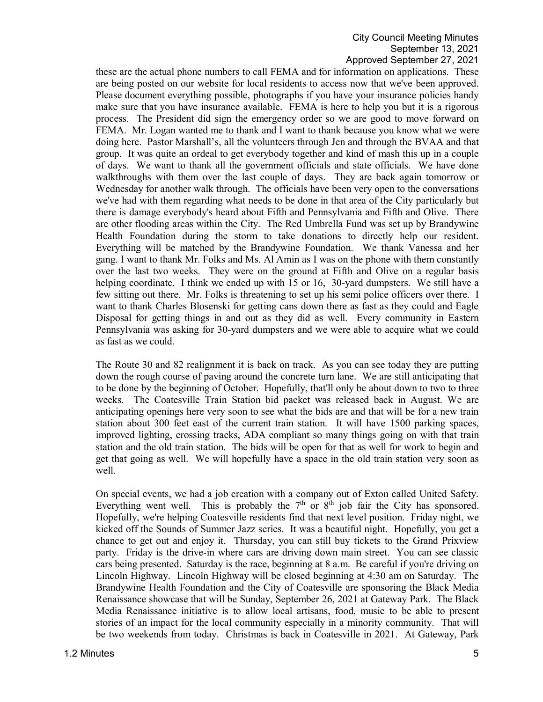### City Council Meeting Minutes September 13, 2021 Approved September 27, 2021

these are the actual phone numbers to call FEMA and for information on applications. These are being posted on our website for local residents to access now that we've been approved. Please document everything possible, photographs if you have your insurance policies handy make sure that you have insurance available. FEMA is here to help you but it is a rigorous process. The President did sign the emergency order so we are good to move forward on FEMA. Mr. Logan wanted me to thank and I want to thank because you know what we were doing here. Pastor Marshall's, all the volunteers through Jen and through the BVAA and that group. It was quite an ordeal to get everybody together and kind of mash this up in a couple of days. We want to thank all the government officials and state officials. We have done walkthroughs with them over the last couple of days. They are back again tomorrow or Wednesday for another walk through. The officials have been very open to the conversations we've had with them regarding what needs to be done in that area of the City particularly but there is damage everybody's heard about Fifth and Pennsylvania and Fifth and Olive. There are other flooding areas within the City. The Red Umbrella Fund was set up by Brandywine Health Foundation during the storm to take donations to directly help our resident. Everything will be matched by the Brandywine Foundation. We thank Vanessa and her gang. I want to thank Mr. Folks and Ms. Al Amin as I was on the phone with them constantly over the last two weeks. They were on the ground at Fifth and Olive on a regular basis helping coordinate. I think we ended up with 15 or 16, 30-yard dumpsters. We still have a few sitting out there. Mr. Folks is threatening to set up his semi police officers over there. I want to thank Charles Blosenski for getting cans down there as fast as they could and Eagle Disposal for getting things in and out as they did as well. Every community in Eastern Pennsylvania was asking for 30-yard dumpsters and we were able to acquire what we could as fast as we could.

The Route 30 and 82 realignment it is back on track. As you can see today they are putting down the rough course of paving around the concrete turn lane. We are still anticipating that to be done by the beginning of October. Hopefully, that'll only be about down to two to three weeks. The Coatesville Train Station bid packet was released back in August. We are anticipating openings here very soon to see what the bids are and that will be for a new train station about 300 feet east of the current train station. It will have 1500 parking spaces, improved lighting, crossing tracks, ADA compliant so many things going on with that train station and the old train station. The bids will be open for that as well for work to begin and get that going as well. We will hopefully have a space in the old train station very soon as well.

On special events, we had a job creation with a company out of Exton called United Safety. Everything went well. This is probably the  $7<sup>th</sup>$  or  $8<sup>th</sup>$  job fair the City has sponsored. Hopefully, we're helping Coatesville residents find that next level position. Friday night, we kicked off the Sounds of Summer Jazz series. It was a beautiful night. Hopefully, you get a chance to get out and enjoy it. Thursday, you can still buy tickets to the Grand Prixview party. Friday is the drive-in where cars are driving down main street. You can see classic cars being presented. Saturday is the race, beginning at 8 a.m. Be careful if you're driving on Lincoln Highway. Lincoln Highway will be closed beginning at 4:30 am on Saturday. The Brandywine Health Foundation and the City of Coatesville are sponsoring the Black Media Renaissance showcase that will be Sunday, September 26, 2021 at Gateway Park. The Black Media Renaissance initiative is to allow local artisans, food, music to be able to present stories of an impact for the local community especially in a minority community. That will be two weekends from today. Christmas is back in Coatesville in 2021. At Gateway, Park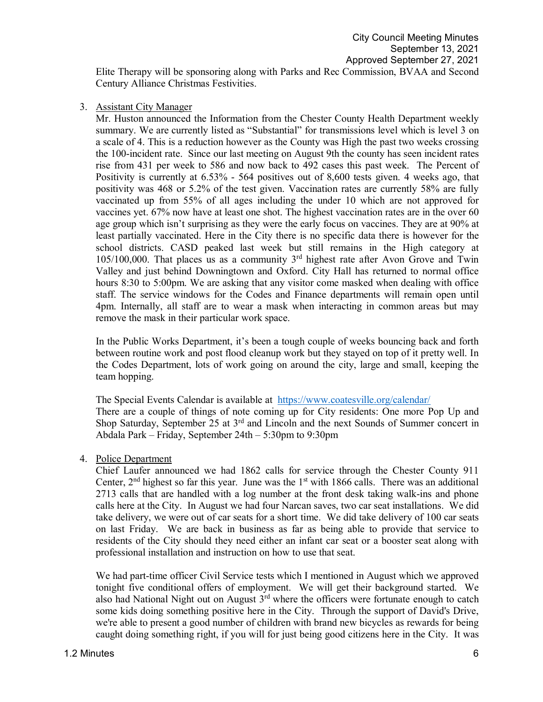Elite Therapy will be sponsoring along with Parks and Rec Commission, BVAA and Second Century Alliance Christmas Festivities.

3. Assistant City Manager

Mr. Huston announced the Information from the Chester County Health Department weekly summary. We are currently listed as "Substantial" for transmissions level which is level 3 on a scale of 4. This is a reduction however as the County was High the past two weeks crossing the 100-incident rate. Since our last meeting on August 9th the county has seen incident rates rise from 431 per week to 586 and now back to 492 cases this past week. The Percent of Positivity is currently at 6.53% - 564 positives out of 8,600 tests given. 4 weeks ago, that positivity was 468 or 5.2% of the test given. Vaccination rates are currently 58% are fully vaccinated up from 55% of all ages including the under 10 which are not approved for vaccines yet. 67% now have at least one shot. The highest vaccination rates are in the over 60 age group which isn't surprising as they were the early focus on vaccines. They are at 90% at least partially vaccinated. Here in the City there is no specific data there is however for the school districts. CASD peaked last week but still remains in the High category at  $105/100,000$ . That places us as a community  $3<sup>rd</sup>$  highest rate after Avon Grove and Twin Valley and just behind Downingtown and Oxford. City Hall has returned to normal office hours 8:30 to 5:00pm. We are asking that any visitor come masked when dealing with office staff. The service windows for the Codes and Finance departments will remain open until 4pm. Internally, all staff are to wear a mask when interacting in common areas but may remove the mask in their particular work space.

In the Public Works Department, it's been a tough couple of weeks bouncing back and forth between routine work and post flood cleanup work but they stayed on top of it pretty well. In the Codes Department, lots of work going on around the city, large and small, keeping the team hopping.

The Special Events Calendar is available at <https://www.coatesville.org/calendar/> There are a couple of things of note coming up for City residents: One more Pop Up and Shop Saturday, September 25 at 3<sup>rd</sup> and Lincoln and the next Sounds of Summer concert in Abdala Park – Friday, September 24th – 5:30pm to 9:30pm

4. Police Department

Chief Laufer announced we had 1862 calls for service through the Chester County 911 Center,  $2<sup>nd</sup>$  highest so far this year. June was the  $1<sup>st</sup>$  with 1866 calls. There was an additional 2713 calls that are handled with a log number at the front desk taking walk-ins and phone calls here at the City. In August we had four Narcan saves, two car seat installations. We did take delivery, we were out of car seats for a short time. We did take delivery of 100 car seats on last Friday. We are back in business as far as being able to provide that service to residents of the City should they need either an infant car seat or a booster seat along with professional installation and instruction on how to use that seat.

We had part-time officer Civil Service tests which I mentioned in August which we approved tonight five conditional offers of employment. We will get their background started. We also had National Night out on August 3rd where the officers were fortunate enough to catch some kids doing something positive here in the City. Through the support of David's Drive, we're able to present a good number of children with brand new bicycles as rewards for being caught doing something right, if you will for just being good citizens here in the City. It was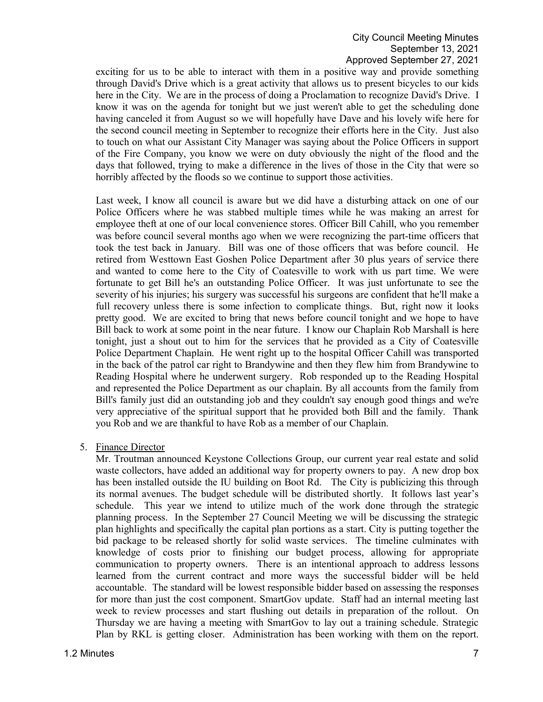exciting for us to be able to interact with them in a positive way and provide something through David's Drive which is a great activity that allows us to present bicycles to our kids here in the City. We are in the process of doing a Proclamation to recognize David's Drive. I know it was on the agenda for tonight but we just weren't able to get the scheduling done having canceled it from August so we will hopefully have Dave and his lovely wife here for the second council meeting in September to recognize their efforts here in the City. Just also to touch on what our Assistant City Manager was saying about the Police Officers in support of the Fire Company, you know we were on duty obviously the night of the flood and the days that followed, trying to make a difference in the lives of those in the City that were so horribly affected by the floods so we continue to support those activities.

Last week, I know all council is aware but we did have a disturbing attack on one of our Police Officers where he was stabbed multiple times while he was making an arrest for employee theft at one of our local convenience stores. Officer Bill Cahill, who you remember was before council several months ago when we were recognizing the part-time officers that took the test back in January. Bill was one of those officers that was before council. He retired from Westtown East Goshen Police Department after 30 plus years of service there and wanted to come here to the City of Coatesville to work with us part time. We were fortunate to get Bill he's an outstanding Police Officer. It was just unfortunate to see the severity of his injuries; his surgery was successful his surgeons are confident that he'll make a full recovery unless there is some infection to complicate things. But, right now it looks pretty good. We are excited to bring that news before council tonight and we hope to have Bill back to work at some point in the near future. I know our Chaplain Rob Marshall is here tonight, just a shout out to him for the services that he provided as a City of Coatesville Police Department Chaplain. He went right up to the hospital Officer Cahill was transported in the back of the patrol car right to Brandywine and then they flew him from Brandywine to Reading Hospital where he underwent surgery. Rob responded up to the Reading Hospital and represented the Police Department as our chaplain. By all accounts from the family from Bill's family just did an outstanding job and they couldn't say enough good things and we're very appreciative of the spiritual support that he provided both Bill and the family. Thank you Rob and we are thankful to have Rob as a member of our Chaplain.

5. Finance Director

Mr. Troutman announced Keystone Collections Group, our current year real estate and solid waste collectors, have added an additional way for property owners to pay. A new drop box has been installed outside the IU building on Boot Rd. The City is publicizing this through its normal avenues. The budget schedule will be distributed shortly. It follows last year's schedule. This year we intend to utilize much of the work done through the strategic planning process. In the September 27 Council Meeting we will be discussing the strategic plan highlights and specifically the capital plan portions as a start. City is putting together the bid package to be released shortly for solid waste services. The timeline culminates with knowledge of costs prior to finishing our budget process, allowing for appropriate communication to property owners. There is an intentional approach to address lessons learned from the current contract and more ways the successful bidder will be held accountable. The standard will be lowest responsible bidder based on assessing the responses for more than just the cost component. SmartGov update. Staff had an internal meeting last week to review processes and start flushing out details in preparation of the rollout. On Thursday we are having a meeting with SmartGov to lay out a training schedule. Strategic Plan by RKL is getting closer. Administration has been working with them on the report.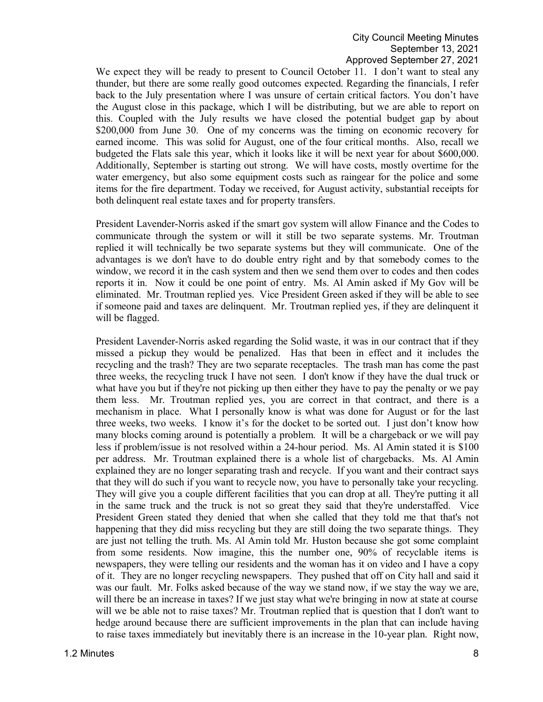We expect they will be ready to present to Council October 11. I don't want to steal any thunder, but there are some really good outcomes expected. Regarding the financials, I refer back to the July presentation where I was unsure of certain critical factors. You don't have the August close in this package, which I will be distributing, but we are able to report on this. Coupled with the July results we have closed the potential budget gap by about \$200,000 from June 30. One of my concerns was the timing on economic recovery for earned income. This was solid for August, one of the four critical months. Also, recall we budgeted the Flats sale this year, which it looks like it will be next year for about \$600,000. Additionally, September is starting out strong. We will have costs, mostly overtime for the water emergency, but also some equipment costs such as raingear for the police and some items for the fire department. Today we received, for August activity, substantial receipts for both delinquent real estate taxes and for property transfers.

President Lavender-Norris asked if the smart gov system will allow Finance and the Codes to communicate through the system or will it still be two separate systems. Mr. Troutman replied it will technically be two separate systems but they will communicate. One of the advantages is we don't have to do double entry right and by that somebody comes to the window, we record it in the cash system and then we send them over to codes and then codes reports it in. Now it could be one point of entry. Ms. Al Amin asked if My Gov will be eliminated. Mr. Troutman replied yes. Vice President Green asked if they will be able to see if someone paid and taxes are delinquent. Mr. Troutman replied yes, if they are delinquent it will be flagged.

President Lavender-Norris asked regarding the Solid waste, it was in our contract that if they missed a pickup they would be penalized. Has that been in effect and it includes the recycling and the trash? They are two separate receptacles. The trash man has come the past three weeks, the recycling truck I have not seen. I don't know if they have the dual truck or what have you but if they're not picking up then either they have to pay the penalty or we pay them less. Mr. Troutman replied yes, you are correct in that contract, and there is a mechanism in place. What I personally know is what was done for August or for the last three weeks, two weeks. I know it's for the docket to be sorted out. I just don't know how many blocks coming around is potentially a problem. It will be a chargeback or we will pay less if problem/issue is not resolved within a 24-hour period. Ms. Al Amin stated it is \$100 per address. Mr. Troutman explained there is a whole list of chargebacks. Ms. Al Amin explained they are no longer separating trash and recycle. If you want and their contract says that they will do such if you want to recycle now, you have to personally take your recycling. They will give you a couple different facilities that you can drop at all. They're putting it all in the same truck and the truck is not so great they said that they're understaffed. Vice President Green stated they denied that when she called that they told me that that's not happening that they did miss recycling but they are still doing the two separate things. They are just not telling the truth. Ms. Al Amin told Mr. Huston because she got some complaint from some residents. Now imagine, this the number one, 90% of recyclable items is newspapers, they were telling our residents and the woman has it on video and I have a copy of it. They are no longer recycling newspapers. They pushed that off on City hall and said it was our fault. Mr. Folks asked because of the way we stand now, if we stay the way we are, will there be an increase in taxes? If we just stay what we're bringing in now at state at course will we be able not to raise taxes? Mr. Troutman replied that is question that I don't want to hedge around because there are sufficient improvements in the plan that can include having to raise taxes immediately but inevitably there is an increase in the 10-year plan. Right now,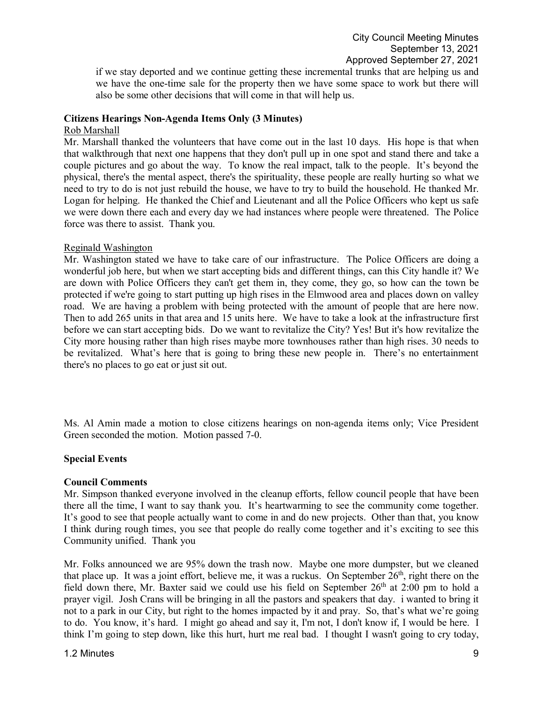if we stay deported and we continue getting these incremental trunks that are helping us and we have the one-time sale for the property then we have some space to work but there will also be some other decisions that will come in that will help us.

#### **Citizens Hearings Non-Agenda Items Only (3 Minutes)**

#### Rob Marshall

Mr. Marshall thanked the volunteers that have come out in the last 10 days. His hope is that when that walkthrough that next one happens that they don't pull up in one spot and stand there and take a couple pictures and go about the way. To know the real impact, talk to the people. It's beyond the physical, there's the mental aspect, there's the spirituality, these people are really hurting so what we need to try to do is not just rebuild the house, we have to try to build the household. He thanked Mr. Logan for helping. He thanked the Chief and Lieutenant and all the Police Officers who kept us safe we were down there each and every day we had instances where people were threatened. The Police force was there to assist. Thank you.

#### Reginald Washington

Mr. Washington stated we have to take care of our infrastructure. The Police Officers are doing a wonderful job here, but when we start accepting bids and different things, can this City handle it? We are down with Police Officers they can't get them in, they come, they go, so how can the town be protected if we're going to start putting up high rises in the Elmwood area and places down on valley road. We are having a problem with being protected with the amount of people that are here now. Then to add 265 units in that area and 15 units here. We have to take a look at the infrastructure first before we can start accepting bids. Do we want to revitalize the City? Yes! But it's how revitalize the City more housing rather than high rises maybe more townhouses rather than high rises. 30 needs to be revitalized. What's here that is going to bring these new people in. There's no entertainment there's no places to go eat or just sit out.

Ms. Al Amin made a motion to close citizens hearings on non-agenda items only; Vice President Green seconded the motion. Motion passed 7-0.

### **Special Events**

### **Council Comments**

Mr. Simpson thanked everyone involved in the cleanup efforts, fellow council people that have been there all the time, I want to say thank you. It's heartwarming to see the community come together. It's good to see that people actually want to come in and do new projects. Other than that, you know I think during rough times, you see that people do really come together and it's exciting to see this Community unified. Thank you

Mr. Folks announced we are 95% down the trash now. Maybe one more dumpster, but we cleaned that place up. It was a joint effort, believe me, it was a ruckus. On September  $26<sup>th</sup>$ , right there on the field down there, Mr. Baxter said we could use his field on September 26<sup>th</sup> at 2:00 pm to hold a prayer vigil. Josh Crans will be bringing in all the pastors and speakers that day. i wanted to bring it not to a park in our City, but right to the homes impacted by it and pray. So, that's what we're going to do. You know, it's hard. I might go ahead and say it, I'm not, I don't know if, I would be here. I think I'm going to step down, like this hurt, hurt me real bad. I thought I wasn't going to cry today,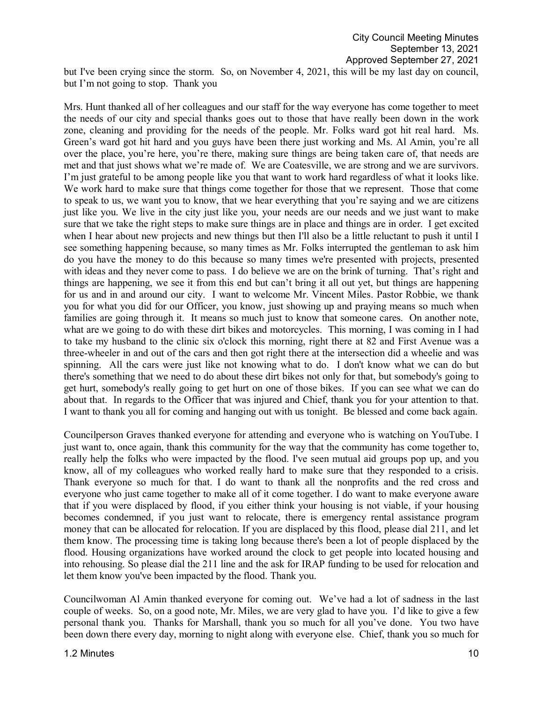but I've been crying since the storm. So, on November 4, 2021, this will be my last day on council, but I'm not going to stop. Thank you

Mrs. Hunt thanked all of her colleagues and our staff for the way everyone has come together to meet the needs of our city and special thanks goes out to those that have really been down in the work zone, cleaning and providing for the needs of the people. Mr. Folks ward got hit real hard. Ms. Green's ward got hit hard and you guys have been there just working and Ms. Al Amin, you're all over the place, you're here, you're there, making sure things are being taken care of, that needs are met and that just shows what we're made of. We are Coatesville, we are strong and we are survivors. I'm just grateful to be among people like you that want to work hard regardless of what it looks like. We work hard to make sure that things come together for those that we represent. Those that come to speak to us, we want you to know, that we hear everything that you're saying and we are citizens just like you. We live in the city just like you, your needs are our needs and we just want to make sure that we take the right steps to make sure things are in place and things are in order. I get excited when I hear about new projects and new things but then I'll also be a little reluctant to push it until I see something happening because, so many times as Mr. Folks interrupted the gentleman to ask him do you have the money to do this because so many times we're presented with projects, presented with ideas and they never come to pass. I do believe we are on the brink of turning. That's right and things are happening, we see it from this end but can't bring it all out yet, but things are happening for us and in and around our city. I want to welcome Mr. Vincent Miles. Pastor Robbie, we thank you for what you did for our Officer, you know, just showing up and praying means so much when families are going through it. It means so much just to know that someone cares. On another note, what are we going to do with these dirt bikes and motorcycles. This morning, I was coming in I had to take my husband to the clinic six o'clock this morning, right there at 82 and First Avenue was a three-wheeler in and out of the cars and then got right there at the intersection did a wheelie and was spinning. All the cars were just like not knowing what to do. I don't know what we can do but there's something that we need to do about these dirt bikes not only for that, but somebody's going to get hurt, somebody's really going to get hurt on one of those bikes. If you can see what we can do about that. In regards to the Officer that was injured and Chief, thank you for your attention to that. I want to thank you all for coming and hanging out with us tonight. Be blessed and come back again.

Councilperson Graves thanked everyone for attending and everyone who is watching on YouTube. I just want to, once again, thank this community for the way that the community has come together to, really help the folks who were impacted by the flood. I've seen mutual aid groups pop up, and you know, all of my colleagues who worked really hard to make sure that they responded to a crisis. Thank everyone so much for that. I do want to thank all the nonprofits and the red cross and everyone who just came together to make all of it come together. I do want to make everyone aware that if you were displaced by flood, if you either think your housing is not viable, if your housing becomes condemned, if you just want to relocate, there is emergency rental assistance program money that can be allocated for relocation. If you are displaced by this flood, please dial 211, and let them know. The processing time is taking long because there's been a lot of people displaced by the flood. Housing organizations have worked around the clock to get people into located housing and into rehousing. So please dial the 211 line and the ask for IRAP funding to be used for relocation and let them know you've been impacted by the flood. Thank you.

Councilwoman Al Amin thanked everyone for coming out. We've had a lot of sadness in the last couple of weeks. So, on a good note, Mr. Miles, we are very glad to have you. I'd like to give a few personal thank you. Thanks for Marshall, thank you so much for all you've done. You two have been down there every day, morning to night along with everyone else. Chief, thank you so much for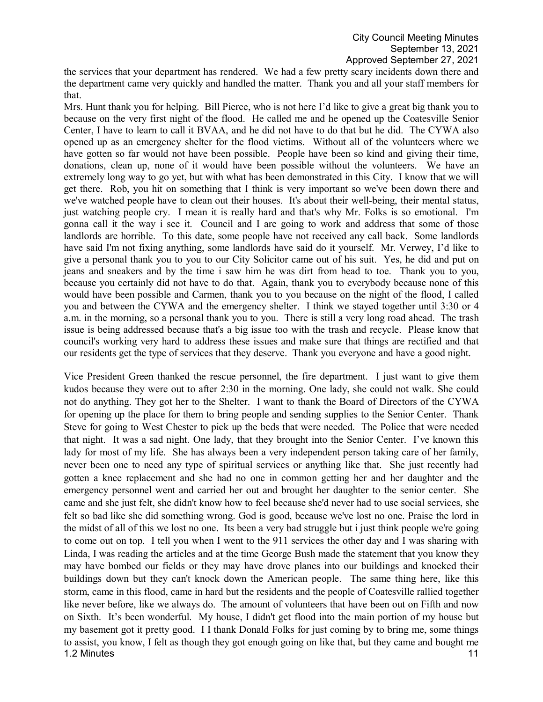the services that your department has rendered. We had a few pretty scary incidents down there and the department came very quickly and handled the matter. Thank you and all your staff members for that.

Mrs. Hunt thank you for helping. Bill Pierce, who is not here I'd like to give a great big thank you to because on the very first night of the flood. He called me and he opened up the Coatesville Senior Center, I have to learn to call it BVAA, and he did not have to do that but he did. The CYWA also opened up as an emergency shelter for the flood victims. Without all of the volunteers where we have gotten so far would not have been possible. People have been so kind and giving their time, donations, clean up, none of it would have been possible without the volunteers. We have an extremely long way to go yet, but with what has been demonstrated in this City. I know that we will get there. Rob, you hit on something that I think is very important so we've been down there and we've watched people have to clean out their houses. It's about their well-being, their mental status, just watching people cry. I mean it is really hard and that's why Mr. Folks is so emotional. I'm gonna call it the way i see it. Council and I are going to work and address that some of those landlords are horrible. To this date, some people have not received any call back. Some landlords have said I'm not fixing anything, some landlords have said do it yourself. Mr. Verwey, I'd like to give a personal thank you to you to our City Solicitor came out of his suit. Yes, he did and put on jeans and sneakers and by the time i saw him he was dirt from head to toe. Thank you to you, because you certainly did not have to do that. Again, thank you to everybody because none of this would have been possible and Carmen, thank you to you because on the night of the flood, I called you and between the CYWA and the emergency shelter. I think we stayed together until 3:30 or 4 a.m. in the morning, so a personal thank you to you. There is still a very long road ahead. The trash issue is being addressed because that's a big issue too with the trash and recycle. Please know that council's working very hard to address these issues and make sure that things are rectified and that our residents get the type of services that they deserve. Thank you everyone and have a good night.

1.2 Minutes **11** Vice President Green thanked the rescue personnel, the fire department. I just want to give them kudos because they were out to after 2:30 in the morning. One lady, she could not walk. She could not do anything. They got her to the Shelter. I want to thank the Board of Directors of the CYWA for opening up the place for them to bring people and sending supplies to the Senior Center. Thank Steve for going to West Chester to pick up the beds that were needed. The Police that were needed that night. It was a sad night. One lady, that they brought into the Senior Center. I've known this lady for most of my life. She has always been a very independent person taking care of her family, never been one to need any type of spiritual services or anything like that. She just recently had gotten a knee replacement and she had no one in common getting her and her daughter and the emergency personnel went and carried her out and brought her daughter to the senior center. She came and she just felt, she didn't know how to feel because she'd never had to use social services, she felt so bad like she did something wrong. God is good, because we've lost no one. Praise the lord in the midst of all of this we lost no one. Its been a very bad struggle but i just think people we're going to come out on top. I tell you when I went to the 911 services the other day and I was sharing with Linda, I was reading the articles and at the time George Bush made the statement that you know they may have bombed our fields or they may have drove planes into our buildings and knocked their buildings down but they can't knock down the American people. The same thing here, like this storm, came in this flood, came in hard but the residents and the people of Coatesville rallied together like never before, like we always do. The amount of volunteers that have been out on Fifth and now on Sixth. It's been wonderful. My house, I didn't get flood into the main portion of my house but my basement got it pretty good. I I thank Donald Folks for just coming by to bring me, some things to assist, you know, I felt as though they got enough going on like that, but they came and bought me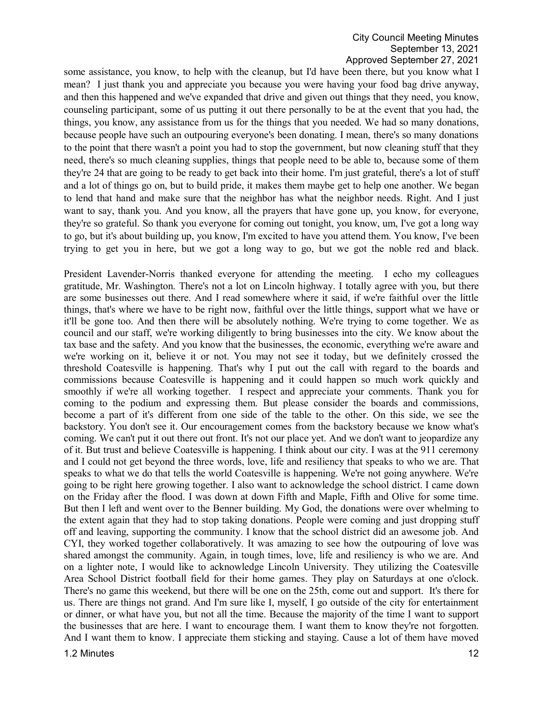### City Council Meeting Minutes September 13, 2021 Approved September 27, 2021

some assistance, you know, to help with the cleanup, but I'd have been there, but you know what I mean? I just thank you and appreciate you because you were having your food bag drive anyway, and then this happened and we've expanded that drive and given out things that they need, you know, counseling participant, some of us putting it out there personally to be at the event that you had, the things, you know, any assistance from us for the things that you needed. We had so many donations, because people have such an outpouring everyone's been donating. I mean, there's so many donations to the point that there wasn't a point you had to stop the government, but now cleaning stuff that they need, there's so much cleaning supplies, things that people need to be able to, because some of them they're 24 that are going to be ready to get back into their home. I'm just grateful, there's a lot of stuff and a lot of things go on, but to build pride, it makes them maybe get to help one another. We began to lend that hand and make sure that the neighbor has what the neighbor needs. Right. And I just want to say, thank you. And you know, all the prayers that have gone up, you know, for everyone, they're so grateful. So thank you everyone for coming out tonight, you know, um, I've got a long way to go, but it's about building up, you know, I'm excited to have you attend them. You know, I've been trying to get you in here, but we got a long way to go, but we got the noble red and black.

President Lavender-Norris thanked everyone for attending the meeting. I echo my colleagues gratitude, Mr. Washington. There's not a lot on Lincoln highway. I totally agree with you, but there are some businesses out there. And I read somewhere where it said, if we're faithful over the little things, that's where we have to be right now, faithful over the little things, support what we have or it'll be gone too. And then there will be absolutely nothing. We're trying to come together. We as council and our staff, we're working diligently to bring businesses into the city. We know about the tax base and the safety. And you know that the businesses, the economic, everything we're aware and we're working on it, believe it or not. You may not see it today, but we definitely crossed the threshold Coatesville is happening. That's why I put out the call with regard to the boards and commissions because Coatesville is happening and it could happen so much work quickly and smoothly if we're all working together. I respect and appreciate your comments. Thank you for coming to the podium and expressing them. But please consider the boards and commissions, become a part of it's different from one side of the table to the other. On this side, we see the backstory. You don't see it. Our encouragement comes from the backstory because we know what's coming. We can't put it out there out front. It's not our place yet. And we don't want to jeopardize any of it. But trust and believe Coatesville is happening. I think about our city. I was at the 911 ceremony and I could not get beyond the three words, love, life and resiliency that speaks to who we are. That speaks to what we do that tells the world Coatesville is happening. We're not going anywhere. We're going to be right here growing together. I also want to acknowledge the school district. I came down on the Friday after the flood. I was down at down Fifth and Maple, Fifth and Olive for some time. But then I left and went over to the Benner building. My God, the donations were over whelming to the extent again that they had to stop taking donations. People were coming and just dropping stuff off and leaving, supporting the community. I know that the school district did an awesome job. And CYI, they worked together collaboratively. It was amazing to see how the outpouring of love was shared amongst the community. Again, in tough times, love, life and resiliency is who we are. And on a lighter note, I would like to acknowledge Lincoln University. They utilizing the Coatesville Area School District football field for their home games. They play on Saturdays at one o'clock. There's no game this weekend, but there will be one on the 25th, come out and support. It's there for us. There are things not grand. And I'm sure like I, myself, I go outside of the city for entertainment or dinner, or what have you, but not all the time. Because the majority of the time I want to support the businesses that are here. I want to encourage them. I want them to know they're not forgotten. And I want them to know. I appreciate them sticking and staying. Cause a lot of them have moved